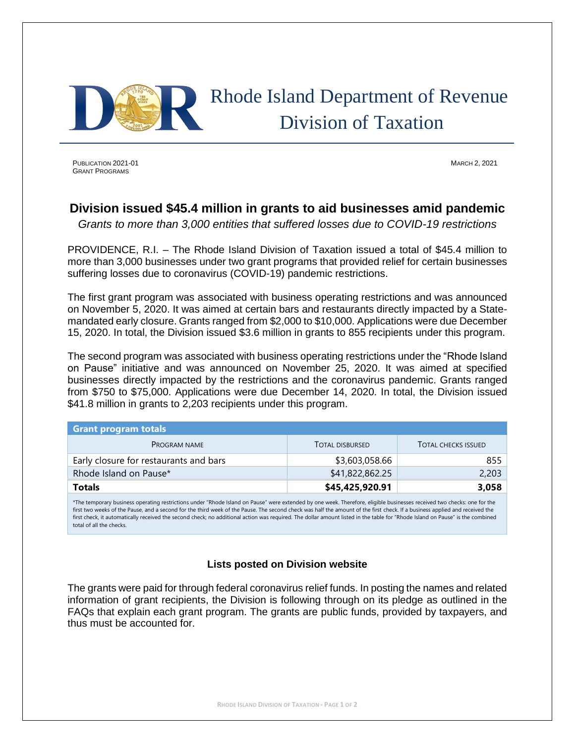

## Rhode Island Department of Revenue Division of Taxation

PUBLICATION 2021-01 MARCH 2, 2021 GRANT PROGRAMS

## **Division issued \$45.4 million in grants to aid businesses amid pandemic**

*Grants to more than 3,000 entities that suffered losses due to COVID-19 restrictions*

PROVIDENCE, R.I. – The Rhode Island Division of Taxation issued a total of \$45.4 million to more than 3,000 businesses under two grant programs that provided relief for certain businesses suffering losses due to coronavirus (COVID-19) pandemic restrictions.

The first grant program was associated with business operating restrictions and was announced on November 5, 2020. It was aimed at certain bars and restaurants directly impacted by a Statemandated early closure. Grants ranged from \$2,000 to \$10,000. Applications were due December 15, 2020. In total, the Division issued \$3.6 million in grants to 855 recipients under this program.

The second program was associated with business operating restrictions under the "Rhode Island on Pause" initiative and was announced on November 25, 2020. It was aimed at specified businesses directly impacted by the restrictions and the coronavirus pandemic. Grants ranged from \$750 to \$75,000. Applications were due December 14, 2020. In total, the Division issued \$41.8 million in grants to 2,203 recipients under this program.

| <b>Grant program totals</b>            |                        |                            |
|----------------------------------------|------------------------|----------------------------|
| <b>PROGRAM NAME</b>                    | <b>TOTAL DISBURSED</b> | <b>TOTAL CHECKS ISSUED</b> |
| Early closure for restaurants and bars | \$3,603,058.66         | 855                        |
| Rhode Island on Pause*                 | \$41,822,862.25        | 2,203                      |
| <b>Totals</b>                          | \$45,425,920.91        | 3,058                      |

\*The temporary business operating restrictions under "Rhode Island on Pause" were extended by one week. Therefore, eligible businesses received two checks: one for the first two weeks of the Pause, and a second for the third week of the Pause. The second check was half the amount of the first check. If a business applied and received the first check, it automatically received the second check; no additional action was required. The dollar amount listed in the table for "Rhode Island on Pause" is the combined total of all the checks.

## **Lists posted on Division website**

The grants were paid for through federal coronavirus relief funds. In posting the names and related information of grant recipients, the Division is following through on its pledge as outlined in the FAQs that explain each grant program. The grants are public funds, provided by taxpayers, and thus must be accounted for.